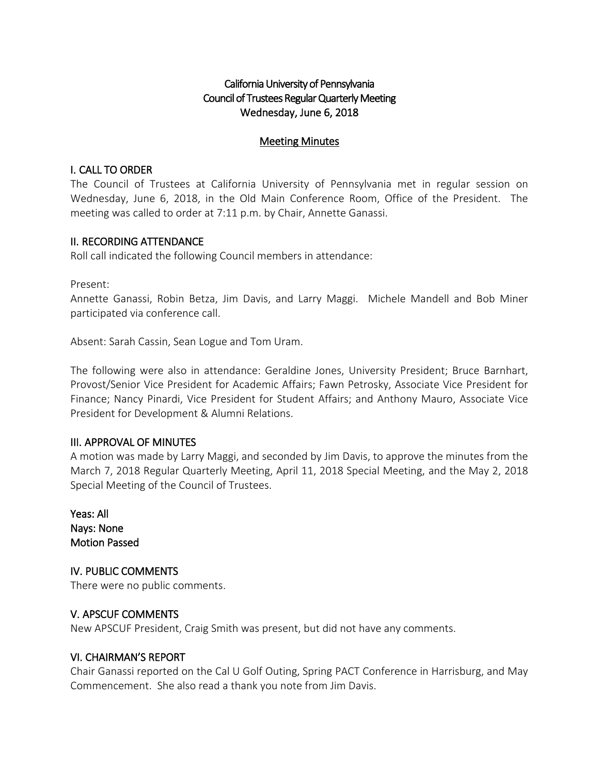# California University of Pennsylvania Council of Trustees Regular Quarterly Meeting Wednesday, June 6, 2018

### Meeting Minutes

## I. CALL TO ORDER

The Council of Trustees at California University of Pennsylvania met in regular session on Wednesday, June 6, 2018, in the Old Main Conference Room, Office of the President. The meeting was called to order at 7:11 p.m. by Chair, Annette Ganassi.

## II. RECORDING ATTENDANCE

Roll call indicated the following Council members in attendance:

Present:

Annette Ganassi, Robin Betza, Jim Davis, and Larry Maggi. Michele Mandell and Bob Miner participated via conference call.

Absent: Sarah Cassin, Sean Logue and Tom Uram.

The following were also in attendance: Geraldine Jones, University President; Bruce Barnhart, Provost/Senior Vice President for Academic Affairs; Fawn Petrosky, Associate Vice President for Finance; Nancy Pinardi, Vice President for Student Affairs; and Anthony Mauro, Associate Vice President for Development & Alumni Relations.

### III. APPROVAL OF MINUTES

A motion was made by Larry Maggi, and seconded by Jim Davis, to approve the minutes from the March 7, 2018 Regular Quarterly Meeting, April 11, 2018 Special Meeting, and the May 2, 2018 Special Meeting of the Council of Trustees.

Yeas: All Nays: None Motion Passed

IV. PUBLIC COMMENTS There were no public comments.

### V. APSCUF COMMENTS

New APSCUF President, Craig Smith was present, but did not have any comments.

### VI. CHAIRMAN'S REPORT

Chair Ganassi reported on the Cal U Golf Outing, Spring PACT Conference in Harrisburg, and May Commencement. She also read a thank you note from Jim Davis.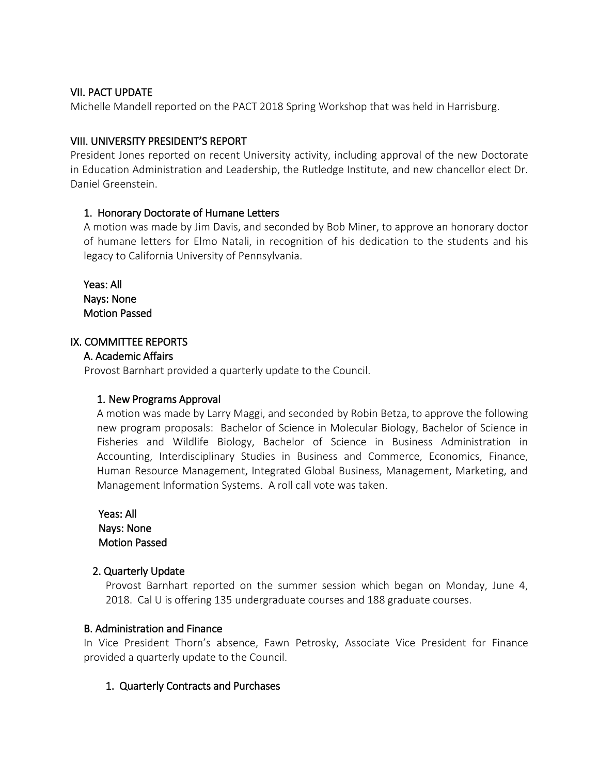## VII. PACT UPDATE

Michelle Mandell reported on the PACT 2018 Spring Workshop that was held in Harrisburg.

## VIII. UNIVERSITY PRESIDENT'S REPORT

President Jones reported on recent University activity, including approval of the new Doctorate in Education Administration and Leadership, the Rutledge Institute, and new chancellor elect Dr. Daniel Greenstein.

## 1. Honorary Doctorate of Humane Letters

A motion was made by Jim Davis, and seconded by Bob Miner, to approve an honorary doctor of humane letters for Elmo Natali, in recognition of his dedication to the students and his legacy to California University of Pennsylvania.

Yeas: All Nays: None Motion Passed

## IX. COMMITTEE REPORTS

### A. Academic Affairs

Provost Barnhart provided a quarterly update to the Council.

### 1. New Programs Approval

A motion was made by Larry Maggi, and seconded by Robin Betza, to approve the following new program proposals: Bachelor of Science in Molecular Biology, Bachelor of Science in Fisheries and Wildlife Biology, Bachelor of Science in Business Administration in Accounting, Interdisciplinary Studies in Business and Commerce, Economics, Finance, Human Resource Management, Integrated Global Business, Management, Marketing, and Management Information Systems. A roll call vote was taken.

 Yeas: All Nays: None Motion Passed

# 2. Quarterly Update

Provost Barnhart reported on the summer session which began on Monday, June 4, 2018. Cal U is offering 135 undergraduate courses and 188 graduate courses.

### B. Administration and Finance

In Vice President Thorn's absence, Fawn Petrosky, Associate Vice President for Finance provided a quarterly update to the Council.

# 1. Quarterly Contracts and Purchases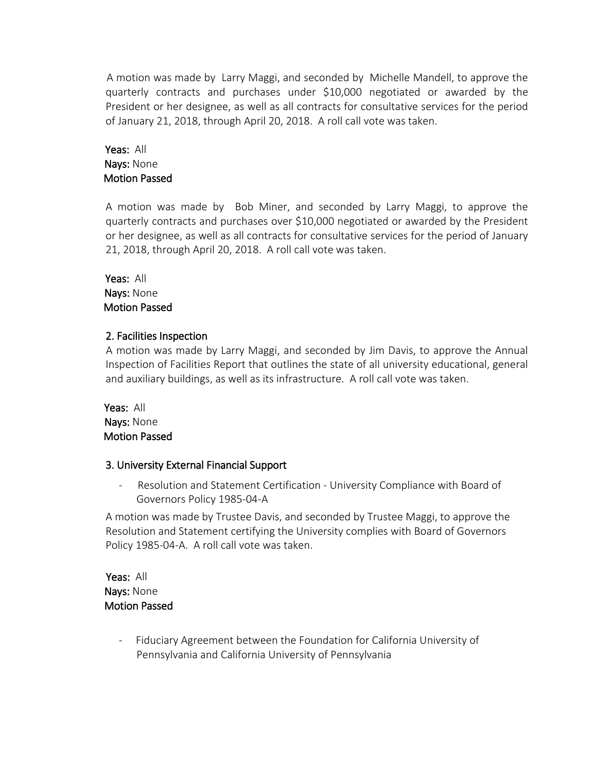A motion was made by Larry Maggi, and seconded by Michelle Mandell, to approve the quarterly contracts and purchases under \$10,000 negotiated or awarded by the President or her designee, as well as all contracts for consultative services for the period of January 21, 2018, through April 20, 2018. A roll call vote was taken.

# Yeas: All Nays: None Motion Passed

A motion was made by Bob Miner, and seconded by Larry Maggi, to approve the quarterly contracts and purchases over \$10,000 negotiated or awarded by the President or her designee, as well as all contracts for consultative services for the period of January 21, 2018, through April 20, 2018. A roll call vote was taken.

 Yeas: All Nays: None Motion Passed

# 2. Facilities Inspection

A motion was made by Larry Maggi, and seconded by Jim Davis, to approve the Annual Inspection of Facilities Report that outlines the state of all university educational, general and auxiliary buildings, as well as its infrastructure. A roll call vote was taken.

 Yeas: All Nays: None Motion Passed

# 3. University External Financial Support

- Resolution and Statement Certification - University Compliance with Board of Governors Policy 1985-04-A

A motion was made by Trustee Davis, and seconded by Trustee Maggi, to approve the Resolution and Statement certifying the University complies with Board of Governors Policy 1985-04-A. A roll call vote was taken.

 Yeas: All Nays: None Motion Passed

> Fiduciary Agreement between the Foundation for California University of Pennsylvania and California University of Pennsylvania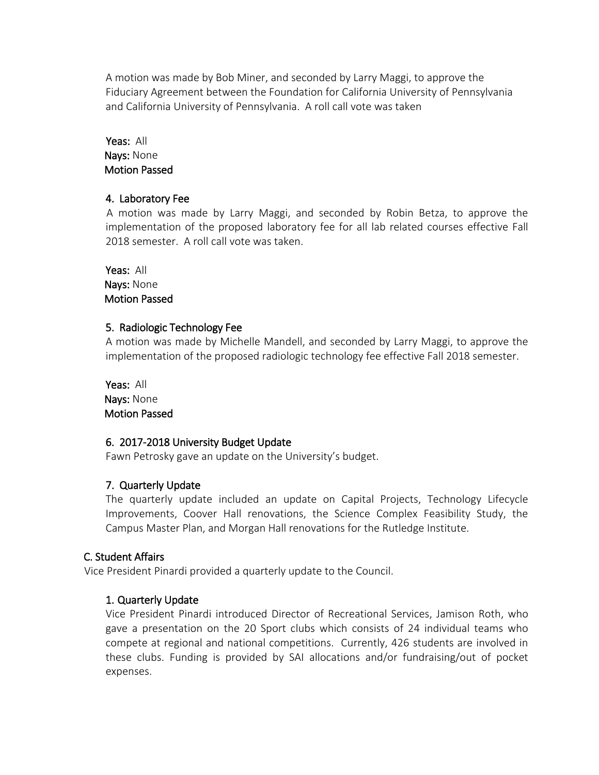A motion was made by Bob Miner, and seconded by Larry Maggi, to approve the Fiduciary Agreement between the Foundation for California University of Pennsylvania and California University of Pennsylvania. A roll call vote was taken

## Yeas: All Nays: None Motion Passed

# 4. Laboratory Fee

 A motion was made by Larry Maggi, and seconded by Robin Betza, to approve the implementation of the proposed laboratory fee for all lab related courses effective Fall 2018 semester. A roll call vote was taken.

Yeas: All Nays: None Motion Passed

# 5. Radiologic Technology Fee

A motion was made by Michelle Mandell, and seconded by Larry Maggi, to approve the implementation of the proposed radiologic technology fee effective Fall 2018 semester.

Yeas: All Nays: None Motion Passed

# 6. 2017-2018 University Budget Update

Fawn Petrosky gave an update on the University's budget.

# 7. Quarterly Update

The quarterly update included an update on Capital Projects, Technology Lifecycle Improvements, Coover Hall renovations, the Science Complex Feasibility Study, the Campus Master Plan, and Morgan Hall renovations for the Rutledge Institute.

# C. Student Affairs

Vice President Pinardi provided a quarterly update to the Council.

# 1. Quarterly Update

Vice President Pinardi introduced Director of Recreational Services, Jamison Roth, who gave a presentation on the 20 Sport clubs which consists of 24 individual teams who compete at regional and national competitions. Currently, 426 students are involved in these clubs. Funding is provided by SAI allocations and/or fundraising/out of pocket expenses.